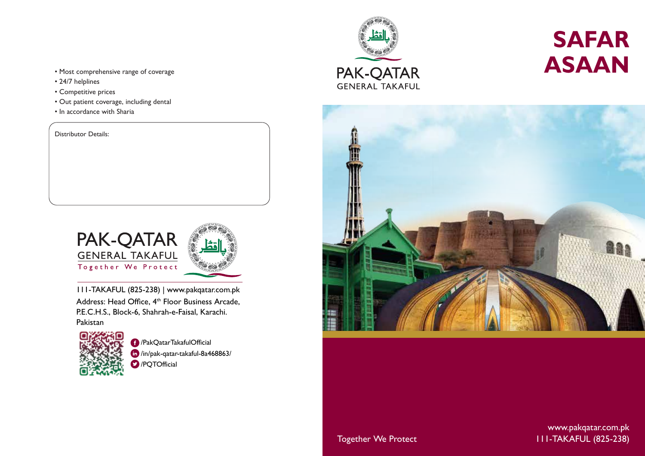- Most comprehensive range of coverage
- 24/7 helplines
- Competitive prices
- Out patient coverage, including dental
- In accordance with Sharia

Distributor Details:



 111-TAKAFUL (825-238) | www.pakqatar.com.pk Address: Head Office, 4<sup>th</sup> Floor Business Arcade, P.E.C.H.S., Block-6, Shahrah-e-Faisal, Karachi. Pakistan



/PakQatarTakafulOfficial /in/pak-qatar-takaful-8a468863/ **D** /POTOfficial



# **SAFAR ASAAN**



Together We Protect **111-TAKAFUL (825-238)** www.pakqatar.com.pk